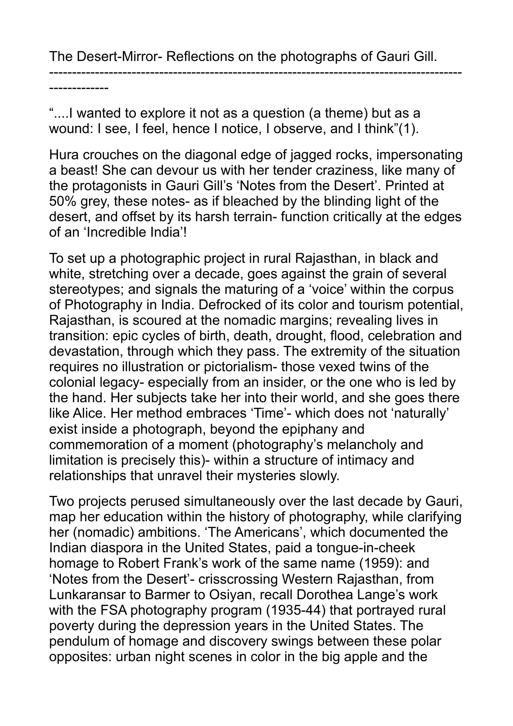The Desert-Mirror- Reflections on the photographs of Gauri Gill.

------------------------------------------------------------------------------------------

-------------

"....I wanted to explore it not as a question (a theme) but as a wound: I see, I feel, hence I notice, I observe, and I think"(1).

Hura crouches on the diagonal edge of jagged rocks, impersonating a beast! She can devour us with her tender craziness, like many of the protagonists in Gauri Gill's 'Notes from the Desert'. Printed at 50% grey, these notes- as if bleached by the blinding light of the desert, and offset by its harsh terrain- function critically at the edges of an 'Incredible India'!

To set up a photographic project in rural Rajasthan, in black and white, stretching over a decade, goes against the grain of several stereotypes; and signals the maturing of a 'voice' within the corpus of Photography in India. Defrocked of its color and tourism potential, Rajasthan, is scoured at the nomadic margins; revealing lives in transition: epic cycles of birth, death, drought, flood, celebration and devastation, through which they pass. The extremity of the situation requires no illustration or pictorialism- those vexed twins of the colonial legacy- especially from an insider, or the one who is led by the hand. Her subjects take her into their world, and she goes there like Alice. Her method embraces 'Time'- which does not 'naturally' exist inside a photograph, beyond the epiphany and commemoration of a moment (photography's melancholy and limitation is precisely this)- within a structure of intimacy and relationships that unravel their mysteries slowly.

Two projects perused simultaneously over the last decade by Gauri, map her education within the history of photography, while clarifying her (nomadic) ambitions. 'The Americans', which documented the Indian diaspora in the United States, paid a tongue-in-cheek homage to Robert Frank's work of the same name (1959): and 'Notes from the Desert'- crisscrossing Western Rajasthan, from Lunkaransar to Barmer to Osiyan, recall Dorothea Lange's work with the FSA photography program (1935-44) that portrayed rural poverty during the depression years in the United States. The pendulum of homage and discovery swings between these polar opposites: urban night scenes in color in the big apple and the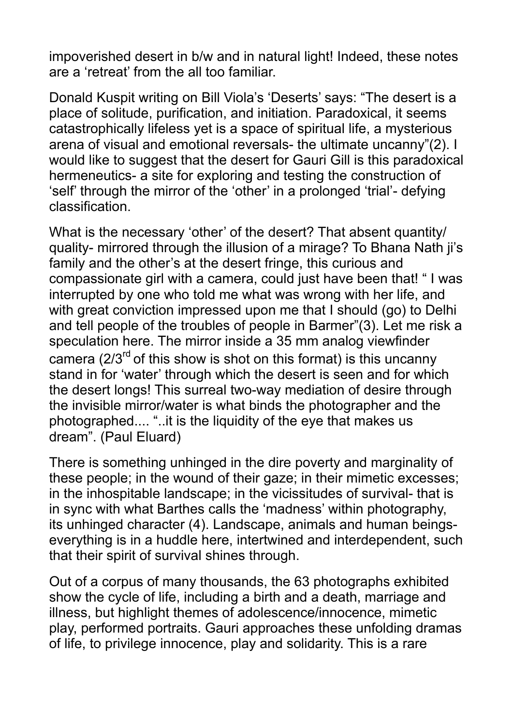impoverished desert in b/w and in natural light! Indeed, these notes are a 'retreat' from the all too familiar.

Donald Kuspit writing on Bill Viola's 'Deserts' says: "The desert is a place of solitude, purification, and initiation. Paradoxical, it seems catastrophically lifeless yet is a space of spiritual life, a mysterious arena of visual and emotional reversals- the ultimate uncanny"(2). I would like to suggest that the desert for Gauri Gill is this paradoxical hermeneutics- a site for exploring and testing the construction of 'self' through the mirror of the 'other' in a prolonged 'trial'- defying classification.

What is the necessary 'other' of the desert? That absent quantity/ quality- mirrored through the illusion of a mirage? To Bhana Nath ji's family and the other's at the desert fringe, this curious and compassionate girl with a camera, could just have been that! " I was interrupted by one who told me what was wrong with her life, and with great conviction impressed upon me that I should (go) to Delhi and tell people of the troubles of people in Barmer"(3). Let me risk a speculation here. The mirror inside a 35 mm analog viewfinder camera  $(2/3^{rd}$  of this show is shot on this format) is this uncanny stand in for 'water' through which the desert is seen and for which the desert longs! This surreal two-way mediation of desire through the invisible mirror/water is what binds the photographer and the photographed.... "..it is the liquidity of the eye that makes us dream". (Paul Eluard)

There is something unhinged in the dire poverty and marginality of these people; in the wound of their gaze; in their mimetic excesses; in the inhospitable landscape; in the vicissitudes of survival- that is in sync with what Barthes calls the 'madness' within photography, its unhinged character (4). Landscape, animals and human beingseverything is in a huddle here, intertwined and interdependent, such that their spirit of survival shines through.

Out of a corpus of many thousands, the 63 photographs exhibited show the cycle of life, including a birth and a death, marriage and illness, but highlight themes of adolescence/innocence, mimetic play, performed portraits. Gauri approaches these unfolding dramas of life, to privilege innocence, play and solidarity. This is a rare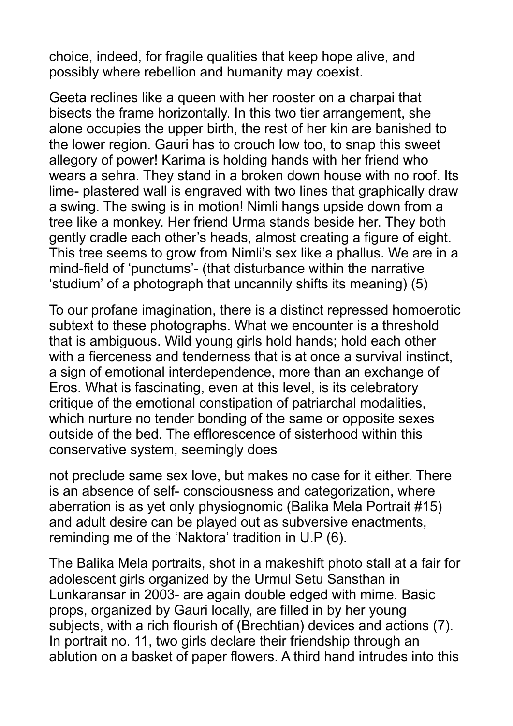choice, indeed, for fragile qualities that keep hope alive, and possibly where rebellion and humanity may coexist.

Geeta reclines like a queen with her rooster on a charpai that bisects the frame horizontally. In this two tier arrangement, she alone occupies the upper birth, the rest of her kin are banished to the lower region. Gauri has to crouch low too, to snap this sweet allegory of power! Karima is holding hands with her friend who wears a sehra. They stand in a broken down house with no roof. Its lime- plastered wall is engraved with two lines that graphically draw a swing. The swing is in motion! Nimli hangs upside down from a tree like a monkey. Her friend Urma stands beside her. They both gently cradle each other's heads, almost creating a figure of eight. This tree seems to grow from Nimli's sex like a phallus. We are in a mind-field of 'punctums'- (that disturbance within the narrative 'studium' of a photograph that uncannily shifts its meaning) (5)

To our profane imagination, there is a distinct repressed homoerotic subtext to these photographs. What we encounter is a threshold that is ambiguous. Wild young girls hold hands; hold each other with a fierceness and tenderness that is at once a survival instinct, a sign of emotional interdependence, more than an exchange of Eros. What is fascinating, even at this level, is its celebratory critique of the emotional constipation of patriarchal modalities, which nurture no tender bonding of the same or opposite sexes outside of the bed. The efflorescence of sisterhood within this conservative system, seemingly does

not preclude same sex love, but makes no case for it either. There is an absence of self- consciousness and categorization, where aberration is as yet only physiognomic (Balika Mela Portrait #15) and adult desire can be played out as subversive enactments, reminding me of the 'Naktora' tradition in U.P (6).

The Balika Mela portraits, shot in a makeshift photo stall at a fair for adolescent girls organized by the Urmul Setu Sansthan in Lunkaransar in 2003- are again double edged with mime. Basic props, organized by Gauri locally, are filled in by her young subjects, with a rich flourish of (Brechtian) devices and actions (7). In portrait no. 11, two girls declare their friendship through an ablution on a basket of paper flowers. A third hand intrudes into this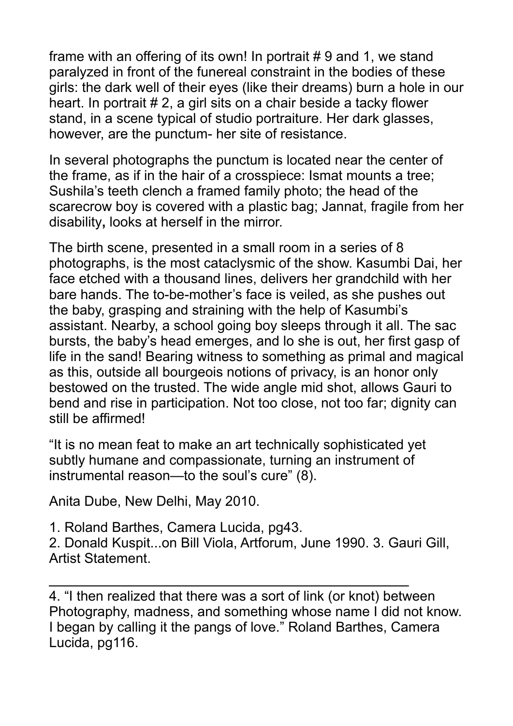frame with an offering of its own! In portrait # 9 and 1, we stand paralyzed in front of the funereal constraint in the bodies of these girls: the dark well of their eyes (like their dreams) burn a hole in our heart. In portrait # 2, a girl sits on a chair beside a tacky flower stand, in a scene typical of studio portraiture. Her dark glasses, however, are the punctum- her site of resistance.

In several photographs the punctum is located near the center of the frame, as if in the hair of a crosspiece: Ismat mounts a tree; Sushila's teeth clench a framed family photo; the head of the scarecrow boy is covered with a plastic bag; Jannat, fragile from her disability**,** looks at herself in the mirror.

The birth scene, presented in a small room in a series of 8 photographs, is the most cataclysmic of the show. Kasumbi Dai, her face etched with a thousand lines, delivers her grandchild with her bare hands. The to-be-mother's face is veiled, as she pushes out the baby, grasping and straining with the help of Kasumbi's assistant. Nearby, a school going boy sleeps through it all. The sac bursts, the baby's head emerges, and lo she is out, her first gasp of life in the sand! Bearing witness to something as primal and magical as this, outside all bourgeois notions of privacy, is an honor only bestowed on the trusted. The wide angle mid shot, allows Gauri to bend and rise in participation. Not too close, not too far; dignity can still be affirmed!

"It is no mean feat to make an art technically sophisticated yet subtly humane and compassionate, turning an instrument of instrumental reason—to the soul's cure" (8).

Anita Dube, New Delhi, May 2010.

1. Roland Barthes, Camera Lucida, pg43.

2. Donald Kuspit...on Bill Viola, Artforum, June 1990. 3. Gauri Gill, Artist Statement.

4. "I then realized that there was a sort of link (or knot) between Photography, madness, and something whose name I did not know. I began by calling it the pangs of love." Roland Barthes, Camera Lucida, pg116.